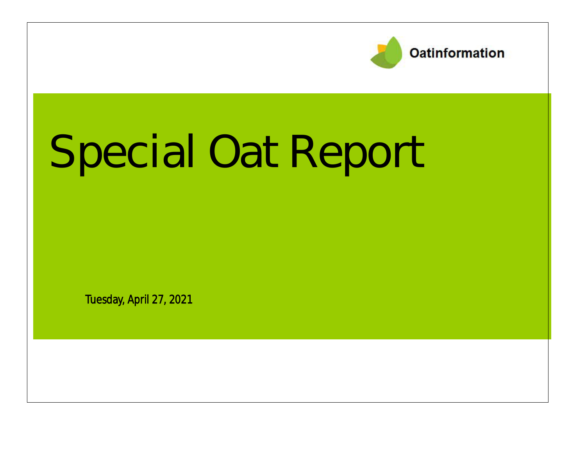

# Special Oat Report

Tuesday, April 27, 2021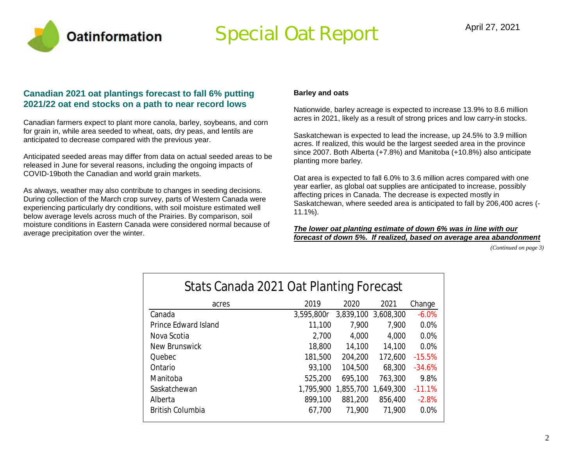

### Special Oat Report April 27, 2021

#### **Canadian 2021 oat plantings forecast to fall 6% putting 2021/22 oat end stocks on a path to near record lows**

Canadian farmers expect to plant more canola, barley, soybeans, and corn for grain in, while area seeded to wheat, oats, dry peas, and lentils are anticipated to decrease compared with the previous year.

Anticipated seeded areas may differ from data on actual seeded areas to be released in June for several reasons, including the ongoing impacts of COVID-19both the Canadian and world grain markets.

As always, weather may also contribute to changes in seeding decisions. During collection of the March crop survey, parts of Western Canada were experiencing particularly dry conditions, with soil moisture estimated well below average levels across much of the Prairies. By comparison, soil moisture conditions in Eastern Canada were considered normal because of average precipitation over the winter.

#### **Barley and oats**

Nationwide, barley acreage is expected to increase 13.9% to 8.6 million acres in 2021, likely as a result of strong prices and low carry-in stocks.

Saskatchewan is expected to lead the increase, up 24.5% to 3.9 million acres. If realized, this would be the largest seeded area in the province since 2007. Both Alberta (+7.8%) and Manitoba (+10.8%) also anticipate planting more barley.

Oat area is expected to fall 6.0% to 3.6 million acres compared with one year earlier, as global oat supplies are anticipated to increase, possibly affecting prices in Canada. The decrease is expected mostly in Saskatchewan, where seeded area is anticipated to fall by 206,400 acres (- 11.1%).

*The lower oat planting estimate of down 6% was in line with our forecast of down 5%. If realized, based on average area abandonment*

*(Continued on page 3)*

| Stats Canada 2021 Oat Planting Forecast |            |           |                     |          |  |  |  |  |  |
|-----------------------------------------|------------|-----------|---------------------|----------|--|--|--|--|--|
| acres                                   | 2019       | 2020      | 2021                | Change   |  |  |  |  |  |
| Canada                                  | 3,595,800r | 3,839,100 | 3,608,300           | $-6.0%$  |  |  |  |  |  |
| Prince Edward Island                    | 11,100     | 7,900     | 7,900               | 0.0%     |  |  |  |  |  |
| Nova Scotia                             | 2,700      | 4,000     | 4,000               | 0.0%     |  |  |  |  |  |
| New Brunswick                           | 18,800     | 14,100    | 14,100              | 0.0%     |  |  |  |  |  |
| Quebec                                  | 181,500    | 204,200   | 172,600             | $-15.5%$ |  |  |  |  |  |
| Ontario                                 | 93,100     | 104,500   | 68,300              | $-34.6%$ |  |  |  |  |  |
| Manitoba                                | 525,200    | 695,100   | 763,300             | 9.8%     |  |  |  |  |  |
| Saskatchewan                            | 1,795,900  |           | 1,855,700 1,649,300 | $-11.1%$ |  |  |  |  |  |
| Alberta                                 | 899,100    | 881,200   | 856,400             | $-2.8%$  |  |  |  |  |  |
| British Columbia                        | 67,700     | 71,900    | 71,900              | $0.0\%$  |  |  |  |  |  |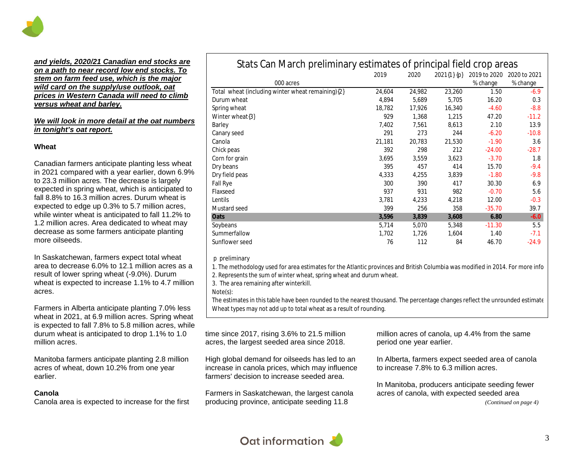

#### *and yields, 2020/21 Canadian end stocks are on a path to near record low end stocks. To stem on farm feed use, which is the major wild card on the supply/use outlook, oat prices in Western Canada will need to climb versus wheat and barley.*

#### *We will look in more detail at the oat numbers in tonight's oat report.*

#### **Wheat**

Canadian farmers anticipate planting less wheat in 2021 compared with a year earlier, down 6.9% to 23.3 million acres. The decrease is largely expected in spring wheat, which is anticipated to fall 8.8% to 16.3 million acres. Durum wheat is expected to edge up 0.3% to 5.7 million acres, while winter wheat is anticipated to fall 11.2% to 1.2 million acres. Area dedicated to wheat may decrease as some farmers anticipate planting more oilseeds.

In Saskatchewan, farmers expect total wheat area to decrease 6.0% to 12.1 million acres as a result of lower spring wheat (-9.0%). Durum wheat is expected to increase 1.1% to 4.7 million acres.

Farmers in Alberta anticipate planting 7.0% less wheat in 2021, at 6.9 million acres. Spring wheat is expected to fall 7.8% to 5.8 million acres, while durum wheat is anticipated to drop 1.1% to 1.0 million acres.

Manitoba farmers anticipate planting 2.8 million acres of wheat, down 10.2% from one year earlier.

#### **Canola**

Canola area is expected to increase for the first

| blats barriviarum promininary collinates or principal nota crop areas |        |        |                 |              |              |  |  |  |
|-----------------------------------------------------------------------|--------|--------|-----------------|--------------|--------------|--|--|--|
|                                                                       | 2019   | 2020   | $2021\{1\}$ {p} | 2019 to 2020 | 2020 to 2021 |  |  |  |
| 000 acres                                                             |        |        |                 | % change     | % change     |  |  |  |
| Total wheat (including winter wheat remaining){2}                     | 24,604 | 24,982 | 23,260          | 1.50         | $-6.9$       |  |  |  |
| Durum wheat                                                           | 4,894  | 5,689  | 5,705           | 16.20        | 0.3          |  |  |  |
| Spring wheat                                                          | 18,782 | 17,926 | 16,340          | $-4.60$      | $-8.8$       |  |  |  |
| Winter wheat{3}                                                       | 929    | 1,368  | 1,215           | 47.20        | $-11.2$      |  |  |  |
| Barley                                                                | 7,402  | 7,561  | 8,613           | 2.10         | 13.9         |  |  |  |
| Canary seed                                                           | 291    | 273    | 244             | $-6.20$      | $-10.8$      |  |  |  |
| Canola                                                                | 21,181 | 20,783 | 21,530          | $-1.90$      | 3.6          |  |  |  |
| Chick peas                                                            | 392    | 298    | 212             | $-24.00$     | $-28.7$      |  |  |  |
| Corn for grain                                                        | 3,695  | 3,559  | 3,623           | $-3.70$      | 1.8          |  |  |  |
| Dry beans                                                             | 395    | 457    | 414             | 15.70        | $-9.4$       |  |  |  |
| Dry field peas                                                        | 4,333  | 4,255  | 3,839           | $-1.80$      | $-9.8$       |  |  |  |
| Fall Rye                                                              | 300    | 390    | 417             | 30.30        | 6.9          |  |  |  |
| Flaxseed                                                              | 937    | 931    | 982             | $-0.70$      | 5.6          |  |  |  |
| Lentils                                                               | 3,781  | 4,233  | 4,218           | 12.00        | $-0.3$       |  |  |  |
| Mustard seed                                                          | 399    | 256    | 358             | $-35.70$     | 39.7         |  |  |  |
| Oats                                                                  | 3,596  | 3,839  | 3,608           | 6.80         | $-6.0$       |  |  |  |
| Soybeans                                                              | 5,714  | 5,070  | 5,348           | $-11.30$     | 5.5          |  |  |  |
| Summerfallow                                                          | 1,702  | 1,726  | 1,604           | 1.40         | $-7.1$       |  |  |  |
| Sunflower seed                                                        | 76     | 112    | 84              | 46.70        | $-24.9$      |  |  |  |

Stats Can March preliminary estimates of principal field crop areas

#### p preliminary

1. The methodology used for area estimates for the Atlantic provinces and British Columbia was modified in 2014. For more information, see note to readers.

2. Represents the sum of winter wheat, spring wheat and durum wheat.

3. The area remaining after winterkill.

Note(s):

The estimates in this table have been rounded to the nearest thousand. The percentage changes reflect the unrounded estimate Wheat types may not add up to total wheat as a result of rounding.

time since 2017, rising 3.6% to 21.5 million acres, the largest seeded area since 2018.

High global demand for oilseeds has led to an increase in canola prices, which may influence farmers' decision to increase seeded area.

Farmers in Saskatchewan, the largest canola producing province, anticipate seeding 11.8

million acres of canola, up 4.4% from the same period one year earlier.

In Alberta, farmers expect seeded area of canola to increase 7.8% to 6.3 million acres.

In Manitoba, producers anticipate seeding fewer acres of canola, with expected seeded area *(Continued on page 4)*

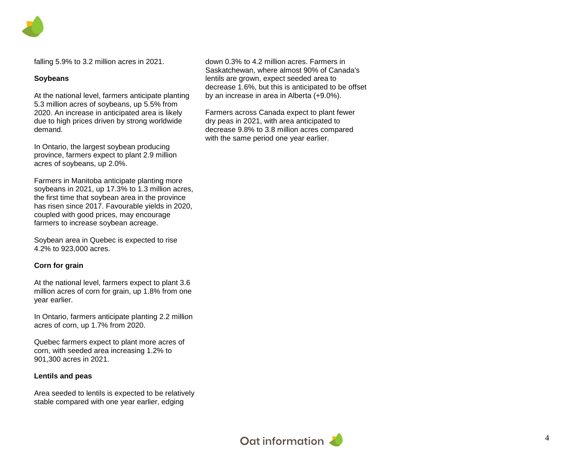falling 5.9% to 3.2 million acres in 2021.

#### **Soybeans**

At the national level, farmers anticipate planting 5.3 million acres of soybeans, up 5.5% from 2020. An increase in anticipated area is likely due to high prices driven by strong worldwide demand.

In Ontario, the largest soybean producing province, farmers expect to plant 2.9 million acres of soybeans, up 2.0%.

Farmers in Manitoba anticipate planting more soybeans in 2021, up 17.3% to 1.3 million acres, the first time that soybean area in the province has risen since 2017. Favourable yields in 2020, coupled with good prices, may encourage farmers to increase soybean acreage.

Soybean area in Quebec is expected to rise 4.2% to 923,000 acres.

#### **Corn for grain**

At the national level, farmers expect to plant 3.6 million acres of corn for grain, up 1.8% from one year earlier.

In Ontario, farmers anticipate planting 2.2 million acres of corn, up 1.7% from 2020.

Quebec farmers expect to plant more acres of corn, with seeded area increasing 1.2% to 901,300 acres in 2021.

#### **Lentils and peas**

Area seeded to lentils is expected to be relatively stable compared with one year earlier, edging

down 0.3% to 4.2 million acres. Farmers in Saskatchewan, where almost 90% of Canada's lentils are grown, expect seeded area to decrease 1.6%, but this is anticipated to be offset by an increase in area in Alberta (+9.0%).

Farmers across Canada expect to plant fewer dry peas in 2021, with area anticipated to decrease 9.8% to 3.8 million acres compared with the same period one year earlier.

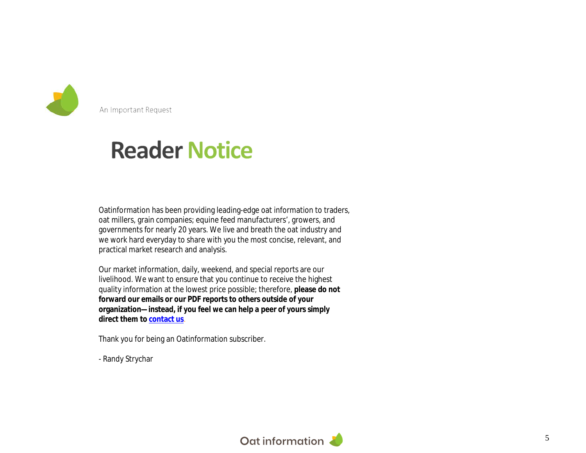

An Important Request

## **Reader Notice**

Oatinformation has been providing leading-edge oat information to traders, oat millers, grain companies; equine feed manufacturers', growers, and governments for nearly 20 years. We live and breath the oat industry and we work hard everyday to share with you the most concise, relevant, and practical market research and analysis.

Our market information, daily, weekend, and special reports are our livelihood. We want to ensure that you continue to receive the highest quality information at the lowest price possible; therefore, **please do not forward our emails or our PDF reports to others outside of your organization—instead, if you feel we can help a peer of yours simply direct them to contact us**.

Thank you for being an Oatinformation subscriber.

- Randy Strychar